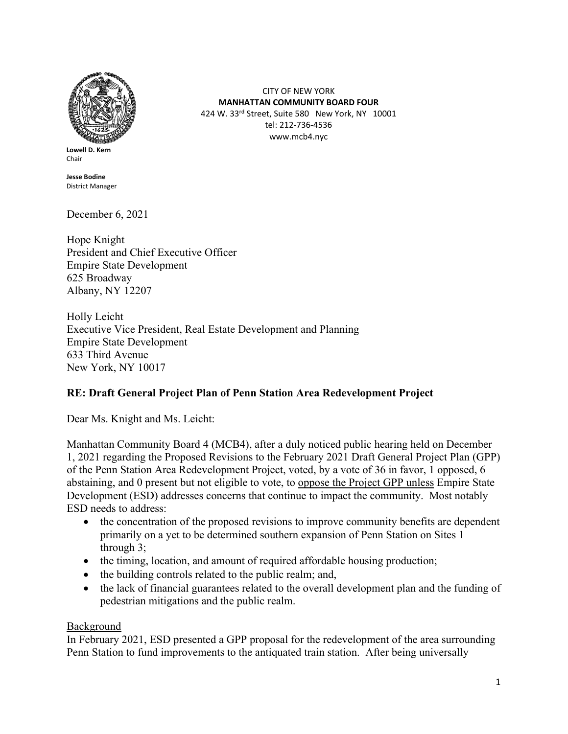

**Lowell D. Kern** Chair

**Jesse Bodine** District Manager

December 6, 2021

Hope Knight President and Chief Executive Officer Empire State Development 625 Broadway Albany, NY 12207

Holly Leicht Executive Vice President, Real Estate Development and Planning Empire State Development 633 Third Avenue New York, NY 10017

## **RE: Draft General Project Plan of Penn Station Area Redevelopment Project**

Dear Ms. Knight and Ms. Leicht:

Manhattan Community Board 4 (MCB4), after a duly noticed public hearing held on December 1, 2021 regarding the Proposed Revisions to the February 2021 Draft General Project Plan (GPP) of the Penn Station Area Redevelopment Project, voted, by a vote of 36 in favor, 1 opposed, 6 abstaining, and 0 present but not eligible to vote, to oppose the Project GPP unless Empire State Development (ESD) addresses concerns that continue to impact the community. Most notably ESD needs to address:

CITY OF NEW YORK **MANHATTAN COMMUNITY BOARD FOUR** 424 W. 33rd Street, Suite 580 New York, NY 10001 tel: 212-736-4536 www.mcb4.nyc

- the concentration of the proposed revisions to improve community benefits are dependent primarily on a yet to be determined southern expansion of Penn Station on Sites 1 through 3;
- the timing, location, and amount of required affordable housing production;
- the building controls related to the public realm; and,
- the lack of financial guarantees related to the overall development plan and the funding of pedestrian mitigations and the public realm.

## Background

In February 2021, ESD presented a GPP proposal for the redevelopment of the area surrounding Penn Station to fund improvements to the antiquated train station. After being universally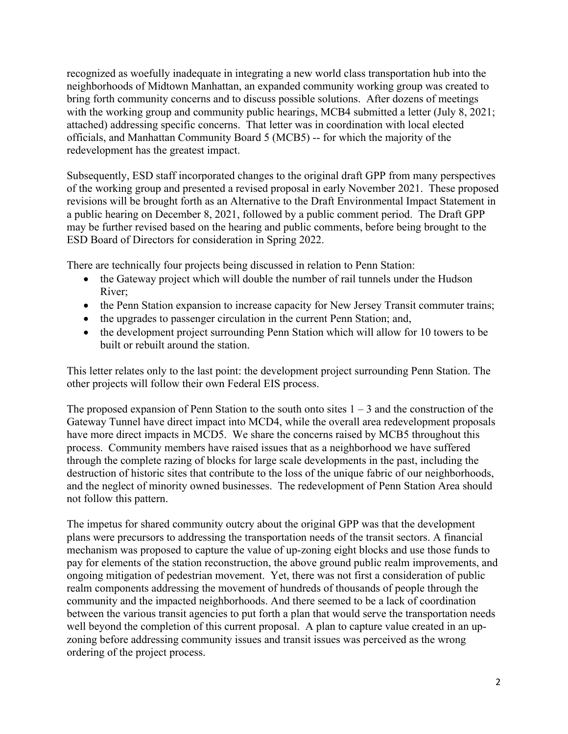recognized as woefully inadequate in integrating a new world class transportation hub into the neighborhoods of Midtown Manhattan, an expanded community working group was created to bring forth community concerns and to discuss possible solutions. After dozens of meetings with the working group and community public hearings, MCB4 submitted a letter (July 8, 2021; attached) addressing specific concerns. That letter was in coordination with local elected officials, and Manhattan Community Board 5 (MCB5) -- for which the majority of the redevelopment has the greatest impact.

Subsequently, ESD staff incorporated changes to the original draft GPP from many perspectives of the working group and presented a revised proposal in early November 2021. These proposed revisions will be brought forth as an Alternative to the Draft Environmental Impact Statement in a public hearing on December 8, 2021, followed by a public comment period. The Draft GPP may be further revised based on the hearing and public comments, before being brought to the ESD Board of Directors for consideration in Spring 2022.

There are technically four projects being discussed in relation to Penn Station:

- the Gateway project which will double the number of rail tunnels under the Hudson River;
- the Penn Station expansion to increase capacity for New Jersey Transit commuter trains;
- the upgrades to passenger circulation in the current Penn Station; and,
- the development project surrounding Penn Station which will allow for 10 towers to be built or rebuilt around the station.

This letter relates only to the last point: the development project surrounding Penn Station. The other projects will follow their own Federal EIS process.

The proposed expansion of Penn Station to the south onto sites  $1 - 3$  and the construction of the Gateway Tunnel have direct impact into MCD4, while the overall area redevelopment proposals have more direct impacts in MCD5. We share the concerns raised by MCB5 throughout this process. Community members have raised issues that as a neighborhood we have suffered through the complete razing of blocks for large scale developments in the past, including the destruction of historic sites that contribute to the loss of the unique fabric of our neighborhoods, and the neglect of minority owned businesses. The redevelopment of Penn Station Area should not follow this pattern.

The impetus for shared community outcry about the original GPP was that the development plans were precursors to addressing the transportation needs of the transit sectors. A financial mechanism was proposed to capture the value of up-zoning eight blocks and use those funds to pay for elements of the station reconstruction, the above ground public realm improvements, and ongoing mitigation of pedestrian movement. Yet, there was not first a consideration of public realm components addressing the movement of hundreds of thousands of people through the community and the impacted neighborhoods. And there seemed to be a lack of coordination between the various transit agencies to put forth a plan that would serve the transportation needs well beyond the completion of this current proposal. A plan to capture value created in an upzoning before addressing community issues and transit issues was perceived as the wrong ordering of the project process.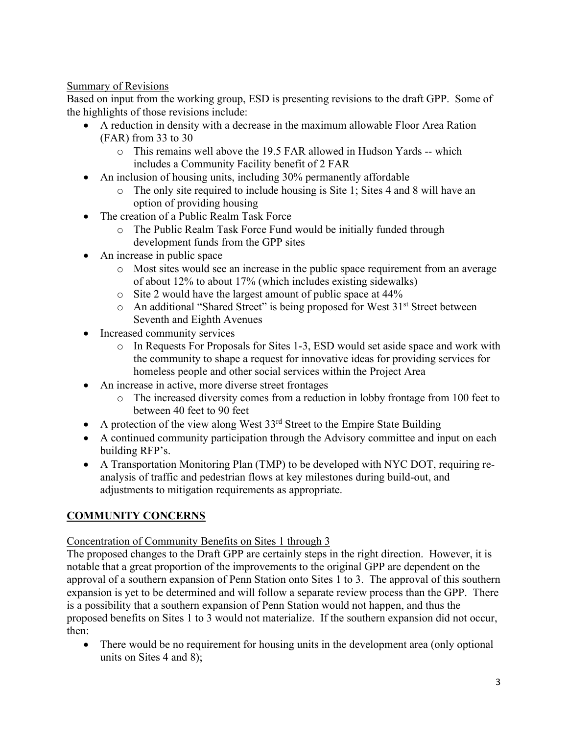## Summary of Revisions

Based on input from the working group, ESD is presenting revisions to the draft GPP. Some of the highlights of those revisions include:

- A reduction in density with a decrease in the maximum allowable Floor Area Ration (FAR) from 33 to 30
	- o This remains well above the 19.5 FAR allowed in Hudson Yards -- which includes a Community Facility benefit of 2 FAR
- An inclusion of housing units, including 30% permanently affordable
	- o The only site required to include housing is Site 1; Sites 4 and 8 will have an option of providing housing
- The creation of a Public Realm Task Force
	- o The Public Realm Task Force Fund would be initially funded through development funds from the GPP sites
- An increase in public space
	- o Most sites would see an increase in the public space requirement from an average of about 12% to about 17% (which includes existing sidewalks)
	- o Site 2 would have the largest amount of public space at 44%
	- $\circ$  An additional "Shared Street" is being proposed for West 31<sup>st</sup> Street between Seventh and Eighth Avenues
- Increased community services
	- o In Requests For Proposals for Sites 1-3, ESD would set aside space and work with the community to shape a request for innovative ideas for providing services for homeless people and other social services within the Project Area
- An increase in active, more diverse street frontages
	- o The increased diversity comes from a reduction in lobby frontage from 100 feet to between 40 feet to 90 feet
- A protection of the view along West  $33<sup>rd</sup>$  Street to the Empire State Building
- A continued community participation through the Advisory committee and input on each building RFP's.
- A Transportation Monitoring Plan (TMP) to be developed with NYC DOT, requiring reanalysis of traffic and pedestrian flows at key milestones during build-out, and adjustments to mitigation requirements as appropriate.

# **COMMUNITY CONCERNS**

Concentration of Community Benefits on Sites 1 through 3

The proposed changes to the Draft GPP are certainly steps in the right direction. However, it is notable that a great proportion of the improvements to the original GPP are dependent on the approval of a southern expansion of Penn Station onto Sites 1 to 3. The approval of this southern expansion is yet to be determined and will follow a separate review process than the GPP. There is a possibility that a southern expansion of Penn Station would not happen, and thus the proposed benefits on Sites 1 to 3 would not materialize. If the southern expansion did not occur, then:

There would be no requirement for housing units in the development area (only optional units on Sites 4 and 8);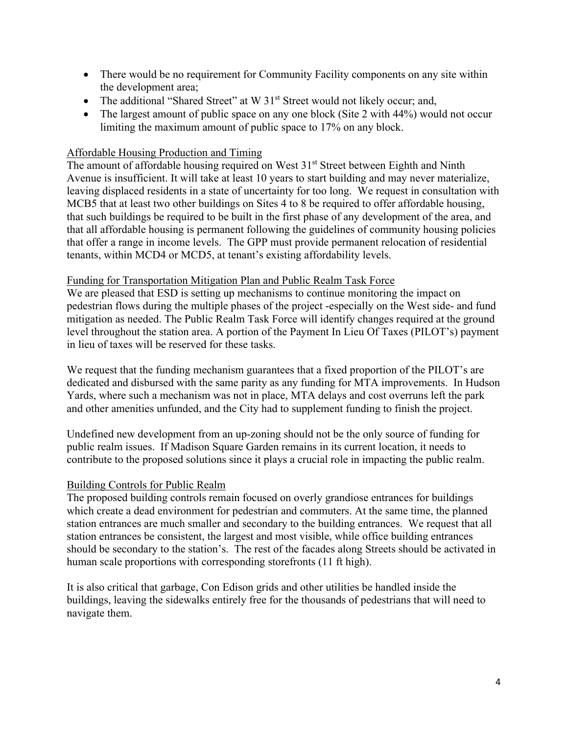- There would be no requirement for Community Facility components on any site within the development area;
- The additional "Shared Street" at W 31<sup>st</sup> Street would not likely occur; and,
- The largest amount of public space on any one block (Site 2 with 44%) would not occur limiting the maximum amount of public space to 17% on any block.

## Affordable Housing Production and Timing

The amount of affordable housing required on West 31<sup>st</sup> Street between Eighth and Ninth Avenue is insufficient. It will take at least 10 years to start building and may never materialize, leaving displaced residents in a state of uncertainty for too long. We request in consultation with MCB5 that at least two other buildings on Sites 4 to 8 be required to offer affordable housing, that such buildings be required to be built in the first phase of any development of the area, and that all affordable housing is permanent following the guidelines of community housing policies that offer a range in income levels. The GPP must provide permanent relocation of residential tenants, within MCD4 or MCD5, at tenant's existing affordability levels.

#### Funding for Transportation Mitigation Plan and Public Realm Task Force

We are pleased that ESD is setting up mechanisms to continue monitoring the impact on pedestrian flows during the multiple phases of the project -especially on the West side- and fund mitigation as needed. The Public Realm Task Force will identify changes required at the ground level throughout the station area. A portion of the Payment In Lieu Of Taxes (PILOT's) payment in lieu of taxes will be reserved for these tasks.

We request that the funding mechanism guarantees that a fixed proportion of the PILOT's are dedicated and disbursed with the same parity as any funding for MTA improvements. In Hudson Yards, where such a mechanism was not in place, MTA delays and cost overruns left the park and other amenities unfunded, and the City had to supplement funding to finish the project.

Undefined new development from an up-zoning should not be the only source of funding for public realm issues. If Madison Square Garden remains in its current location, it needs to contribute to the proposed solutions since it plays a crucial role in impacting the public realm.

#### Building Controls for Public Realm

The proposed building controls remain focused on overly grandiose entrances for buildings which create a dead environment for pedestrian and commuters. At the same time, the planned station entrances are much smaller and secondary to the building entrances. We request that all station entrances be consistent, the largest and most visible, while office building entrances should be secondary to the station's. The rest of the facades along Streets should be activated in human scale proportions with corresponding storefronts (11 ft high).

It is also critical that garbage, Con Edison grids and other utilities be handled inside the buildings, leaving the sidewalks entirely free for the thousands of pedestrians that will need to navigate them.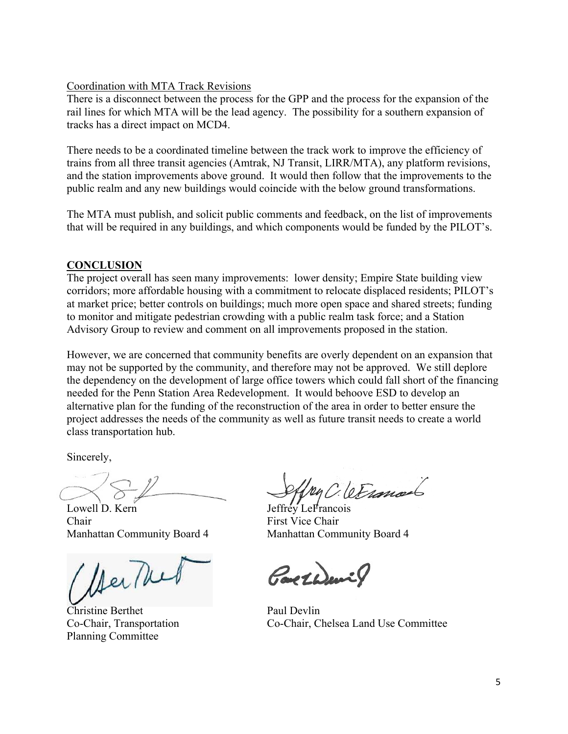#### Coordination with MTA Track Revisions

There is a disconnect between the process for the GPP and the process for the expansion of the rail lines for which MTA will be the lead agency. The possibility for a southern expansion of tracks has a direct impact on MCD4.

There needs to be a coordinated timeline between the track work to improve the efficiency of trains from all three transit agencies (Amtrak, NJ Transit, LIRR/MTA), any platform revisions, and the station improvements above ground. It would then follow that the improvements to the public realm and any new buildings would coincide with the below ground transformations.

The MTA must publish, and solicit public comments and feedback, on the list of improvements that will be required in any buildings, and which components would be funded by the PILOT's.

## **CONCLUSION**

The project overall has seen many improvements: lower density; Empire State building view corridors; more affordable housing with a commitment to relocate displaced residents; PILOT's at market price; better controls on buildings; much more open space and shared streets; funding to monitor and mitigate pedestrian crowding with a public realm task force; and a Station Advisory Group to review and comment on all improvements proposed in the station.

However, we are concerned that community benefits are overly dependent on an expansion that may not be supported by the community, and therefore may not be approved. We still deplore the dependency on the development of large office towers which could fall short of the financing needed for the Penn Station Area Redevelopment. It would behoove ESD to develop an alternative plan for the funding of the reconstruction of the area in order to better ensure the project addresses the needs of the community as well as future transit needs to create a world class transportation hub.

Sincerely,

Lowell D. Kern Jeffrey LeFrancois Chair First Vice Chair

/ Der Thed

**Christine Berthet** Paul Devlin Planning Committee

2. le France

Manhattan Community Board 4 Manhattan Community Board 4

GaretWeil

Co-Chair, Transportation Co-Chair, Chelsea Land Use Committee